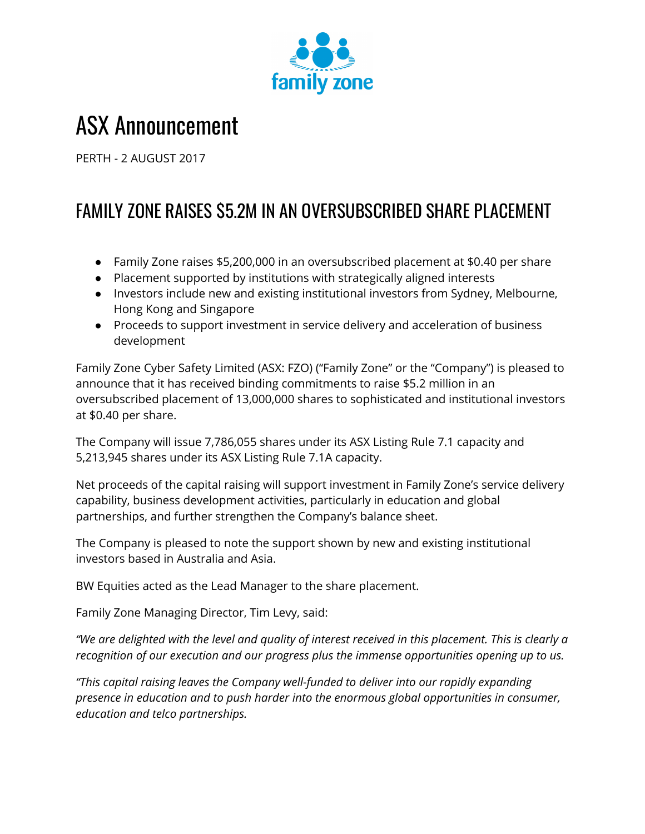

## ASX Announcement

PERTH - 2 AUGUST 2017

## FAMILY ZONE RAISES \$5.2M IN AN OVERSUBSCRIBED SHARE PLACEMENT

- Family Zone raises \$5,200,000 in an oversubscribed placement at \$0.40 per share
- Placement supported by institutions with strategically aligned interests
- Investors include new and existing institutional investors from Sydney, Melbourne, Hong Kong and Singapore
- Proceeds to support investment in service delivery and acceleration of business development

Family Zone Cyber Safety Limited (ASX: FZO) ("Family Zone" or the "Company") is pleased to announce that it has received binding commitments to raise \$5.2 million in an oversubscribed placement of 13,000,000 shares to sophisticated and institutional investors at \$0.40 per share.

The Company will issue 7,786,055 shares under its ASX Listing Rule 7.1 capacity and 5,213,945 shares under its ASX Listing Rule 7.1A capacity.

Net proceeds of the capital raising will support investment in Family Zone's service delivery capability, business development activities, particularly in education and global partnerships, and further strengthen the Company's balance sheet.

The Company is pleased to note the support shown by new and existing institutional investors based in Australia and Asia.

BW Equities acted as the Lead Manager to the share placement.

Family Zone Managing Director, Tim Levy, said:

"We are delighted with the level and quality of interest received in this placement. This is clearly a *recognition of our execution and our progress plus the immense opportunities opening up to us.*

*"This capital raising leaves the Company well-funded to deliver into our rapidly expanding presence in education and to push harder into the enormous global opportunities in consumer, education and telco partnerships.*